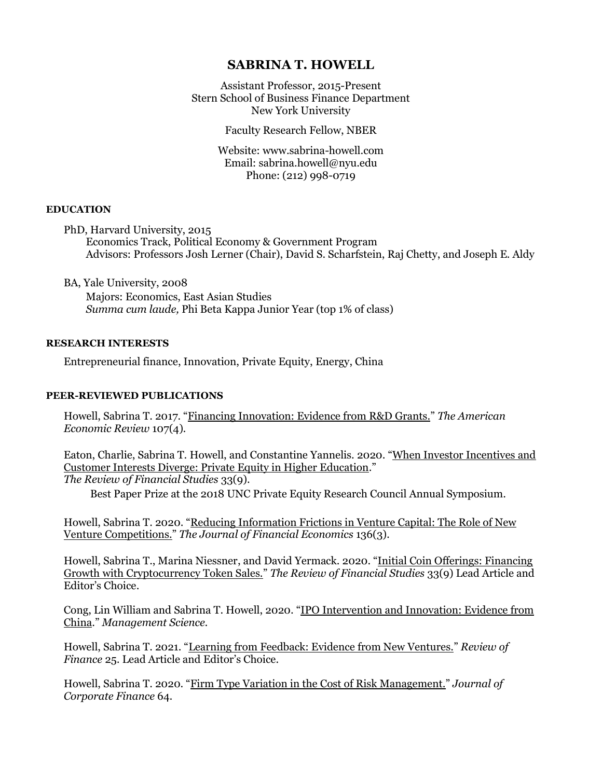# **SABRINA T. HOWELL**

Assistant Professor, 2015-Present Stern School of Business Finance Department New York University

Faculty Research Fellow, NBER

Email: [sabrina.howell@nyu.edu](mailto:showell@stern.nyu.edu) Phone: (212) 998-0719 Website: www.sabrina-howell.com

## **EDUCATION**

PhD, Harvard University, 2015 Economics Track, Political Economy & Government Program Advisors: Professors Josh Lerner (Chair), David S. Scharfstein, Raj Chetty, and Joseph E. Aldy

BA, Yale University, 2008

Majors: Economics, East Asian Studies *Summa cum laude,* Phi Beta Kappa Junior Year (top 1% of class)

## **RESEARCH INTERESTS**

Entrepreneurial finance, Innovation, Private Equity, Energy, China

#### **PEER-REVIEWED PUBLICATIONS**

Howell, Sabrina T. 2017. "[Financing Innovation: Evidence from R&D Grants.](https://www.aeaweb.org/articles?id=10.1257/aer.20150808)" *The American Economic Review* 107(4)*.*

Eaton, Charlie, Sabrina T. Howell, and Constantine Yannelis. 2020. "[When Investor Incentives and](https://academic.oup.com/rfs/advance-article/doi/10.1093/rfs/hhz129/5602331)  [Customer Interests Diverge: Private Equity in Higher Education](https://academic.oup.com/rfs/advance-article/doi/10.1093/rfs/hhz129/5602331)." *The Review of Financial Studies* 33(9).

Best Paper Prize at the 2018 UNC Private Equity Research Council Annual Symposium.

Howell, Sabrina T. 2020. "Reducing Information Frictions in Venture Capital: The Role of New [Venture Competitions.](https://www.sciencedirect.com/science/article/pii/S0304405X19302557)" *The Journal of Financial Economics* 136(3)*.*

Howell, Sabrina T., Marina Niessner, and David Yermack. 2020. "[Initial Coin Offerings: Financing](https://academic.oup.com/rfs/advance-article/doi/10.1093/rfs/hhz131/5610546)  [Growth with Cryptocurrency Token Sales.](https://academic.oup.com/rfs/advance-article/doi/10.1093/rfs/hhz131/5610546)" *The Review of Financial Studies* 33(9) Lead Article and Editor's Choice.

Cong, Lin William and Sabrina T. Howell, 2020. "[IPO Intervention and Innovation: Evidence from](https://pubsonline.informs.org/doi/abs/10.1287/mnsc.2020.3807)  [China](https://pubsonline.informs.org/doi/abs/10.1287/mnsc.2020.3807)." *Management Science.*

Howell, Sabrina T. 2021. "[Learning from Feedback: Evidence from New Ventures.](https://doi.org/10.1093/rof/rfab006)" *Review of Finance* 25*.* Lead Article and Editor's Choice.

Howell, Sabrina T. 2020. "[Firm Type Variation in the Cost of Risk Management.](https://www.sciencedirect.com/science/article/abs/pii/S0929119920301358)" *Journal of Corporate Finance* 64*.*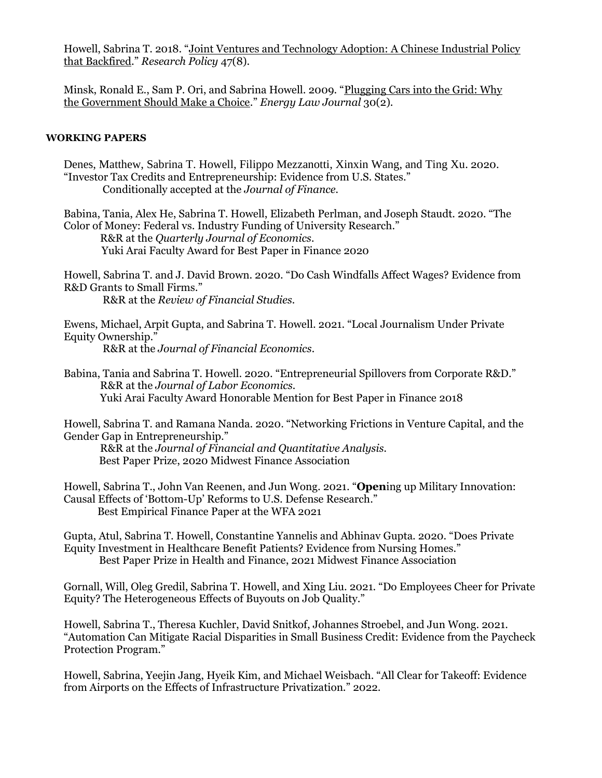Howell, Sabrina T. 2018. "[Joint Ventures and Technology Adoption: A Chinese Industrial Policy](https://www.sciencedirect.com/science/article/abs/pii/S0048733318301124)  [that Backfired](https://www.sciencedirect.com/science/article/abs/pii/S0048733318301124)." *Research Policy* 47(8).

Minsk, Ronald E., Sam P. Ori, and Sabrina Howell. 2009. "[Plugging Cars into the Grid: Why](https://heinonline.org/HOL/LandingPage?handle=hein.journals/energy30&div=25&id=&page=)  [the Government Should Make a Choice](https://heinonline.org/HOL/LandingPage?handle=hein.journals/energy30&div=25&id=&page=)." *Energy Law Journal* 30(2).

# **WORKING PAPERS**

| Denes, Matthew, Sabrina T. Howell, Filippo Mezzanotti, Xinxin Wang, and Ting Xu. 2020.<br>"Investor Tax Credits and Entrepreneurship: Evidence from U.S. States."<br>Conditionally accepted at the Journal of Finance.                                                       |
|------------------------------------------------------------------------------------------------------------------------------------------------------------------------------------------------------------------------------------------------------------------------------|
| Babina, Tania, Alex He, Sabrina T. Howell, Elizabeth Perlman, and Joseph Staudt. 2020. "The<br>Color of Money: Federal vs. Industry Funding of University Research."<br>R&R at the Quarterly Journal of Economics.<br>Yuki Arai Faculty Award for Best Paper in Finance 2020 |
| Howell, Sabrina T. and J. David Brown. 2020. "Do Cash Windfalls Affect Wages? Evidence from<br>R&D Grants to Small Firms."<br>R&R at the Review of Financial Studies.                                                                                                        |
| Ewens, Michael, Arpit Gupta, and Sabrina T. Howell. 2021. "Local Journalism Under Private<br>Equity Ownership."<br>R&R at the Journal of Financial Economics.                                                                                                                |
| Babina, Tania and Sabrina T. Howell. 2020. "Entrepreneurial Spillovers from Corporate R&D."<br>R&R at the Journal of Labor Economics.<br>Yuki Arai Faculty Award Honorable Mention for Best Paper in Finance 2018                                                            |
| Howell, Sabrina T. and Ramana Nanda. 2020. "Networking Frictions in Venture Capital, and the<br>Gender Gap in Entrepreneurship."<br>R&R at the Journal of Financial and Quantitative Analysis.<br>Best Paper Prize, 2020 Midwest Finance Association                         |
| Howell, Sabrina T., John Van Reenen, and Jun Wong. 2021. "Opening up Military Innovation:<br>Causal Effects of 'Bottom-Up' Reforms to U.S. Defense Research."<br>Best Empirical Finance Paper at the WFA 2021                                                                |
| Gupta, Atul, Sabrina T. Howell, Constantine Yannelis and Abhinav Gupta. 2020. "Does Private<br>Equity Investment in Healthcare Benefit Patients? Evidence from Nursing Homes."<br>Best Paper Prize in Health and Finance, 2021 Midwest Finance Association                   |
| Gornall, Will, Oleg Gredil, Sabrina T. Howell, and Xing Liu. 2021. "Do Employees Cheer for Private<br>Equity? The Heterogeneous Effects of Buyouts on Job Quality."                                                                                                          |
| Howell, Sabrina T., Theresa Kuchler, David Snitkof, Johannes Stroebel, and Jun Wong. 2021.<br>"Automation Can Mitigate Racial Disparities in Small Business Credit: Evidence from the Paycheck<br>Protection Program."                                                       |

Howell, Sabrina, Yeejin Jang, Hyeik Kim, and Michael Weisbach. "All Clear for Takeoff: Evidence from Airports on the Effects of Infrastructure Privatization." 2022.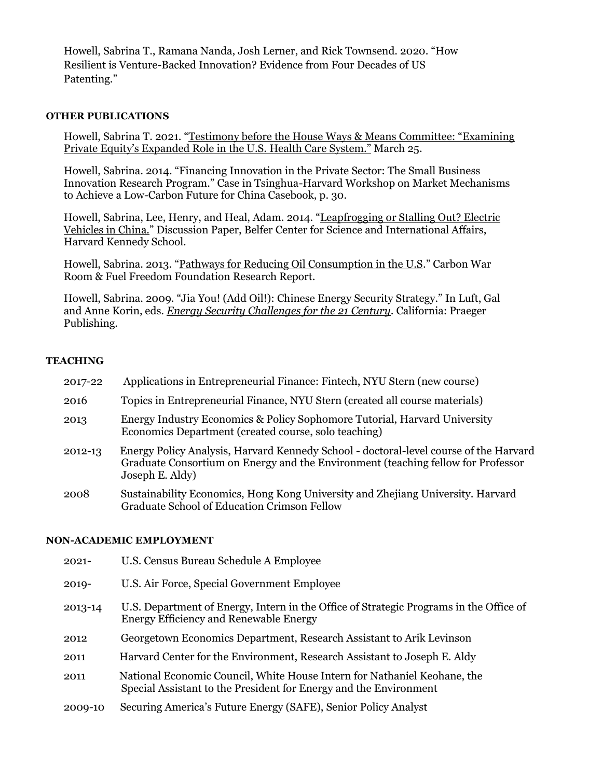Howell, Sabrina T., Ramana Nanda, Josh Lerner, and Rick Townsend. 2020. "[How](https://papers.ssrn.com/sol3/papers.cfm?abstract_id=3598177)  [Resilient is Venture-Backed Innovation? Evidence from Four Decades of US](https://papers.ssrn.com/sol3/papers.cfm?abstract_id=3598177)  [Patenting](https://papers.ssrn.com/sol3/papers.cfm?abstract_id=3598177)."

# **OTHER PUBLICATIONS**

Howell, Sabrina T. 2021. "[Testimony before the House Ways & Means Committee:](https://waysandmeans.house.gov/legislation/hearings/oversight-subcommittee-hearing-examining-private-equity-s-expanded-role-us) "Examining [Private Equity's Expanded Role in the U.S.](https://waysandmeans.house.gov/legislation/hearings/oversight-subcommittee-hearing-examining-private-equity-s-expanded-role-us) Health Care System." March 25.

Howell, Sabrina. 2014. "Financing Innovation in the Private Sector: The Small Business Innovation Research Program." Case in Tsinghua-Harvard Workshop on Market Mechanisms to Achieve a Low-Carbon Future for China Casebook, p. 30.

Howell, Sabrina, Lee, Henry, and Heal, Adam. 2014. "[Leapfrogging or Stalling Out? Electric](http://belfercenter.ksg.harvard.edu/publication/24335/leapfrogging_or_stalling_out_electric_vehicles_in_china.html?breadcrumb=%2Fpublication%2F24345%2Felectric_vehicles_in_china%3Futm_source%3Dfeedburner%26utm_medium%3Dfeed%26utm_campaign%3DFeed%3A%2Bbelfer%2Fenergy%2B%28Belfer%2BCenter%2Bfor%2BScience%2Band%2BInternational%2BAffairs%2B-%2BEnergy%29)  [Vehicles in China.](http://belfercenter.ksg.harvard.edu/publication/24335/leapfrogging_or_stalling_out_electric_vehicles_in_china.html?breadcrumb=%2Fpublication%2F24345%2Felectric_vehicles_in_china%3Futm_source%3Dfeedburner%26utm_medium%3Dfeed%26utm_campaign%3DFeed%3A%2Bbelfer%2Fenergy%2B%28Belfer%2BCenter%2Bfor%2BScience%2Band%2BInternational%2BAffairs%2B-%2BEnergy%29)" Discussion Paper, Belfer Center for Science and International Affairs, Harvard Kennedy School.

Howell, Sabrina. 2013. "[Pathways for Reducing Oil Consumption in the U.S](http://www.carbonwarroom.com/what-we-do/research-publications/transport-pathways-reducing-oil-consumption-us)." Carbon War Room & Fuel Freedom Foundation Research Report.

Howell, Sabrina. 2009. "Jia You! (Add Oil!): Chinese Energy Security Strategy." In Luft, Gal and Anne Korin, eds*[. Energy Security Challenges for the 21 Century](http://amzn.com/0275999971)*. California: Praeger Publishing.

## **TEACHING**

| 2017-22 | Applications in Entrepreneurial Finance: Fintech, NYU Stern (new course)                                                                                                                     |
|---------|----------------------------------------------------------------------------------------------------------------------------------------------------------------------------------------------|
| 2016    | Topics in Entrepreneurial Finance, NYU Stern (created all course materials)                                                                                                                  |
| 2013    | Energy Industry Economics & Policy Sophomore Tutorial, Harvard University<br>Economics Department (created course, solo teaching)                                                            |
| 2012-13 | Energy Policy Analysis, Harvard Kennedy School - doctoral-level course of the Harvard<br>Graduate Consortium on Energy and the Environment (teaching fellow for Professor<br>Joseph E. Aldy) |
| 2008    | Sustainability Economics, Hong Kong University and Zhejiang University. Harvard                                                                                                              |

Graduate School of Education Crimson Fellow

#### **NON-ACADEMIC EMPLOYMENT**

| $2021 -$ | U.S. Census Bureau Schedule A Employee                                                                                                        |
|----------|-----------------------------------------------------------------------------------------------------------------------------------------------|
| $2019 -$ | U.S. Air Force, Special Government Employee                                                                                                   |
| 2013-14  | U.S. Department of Energy, Intern in the Office of Strategic Programs in the Office of<br>Energy Efficiency and Renewable Energy              |
| 2012     | Georgetown Economics Department, Research Assistant to Arik Levinson                                                                          |
| 2011     | Harvard Center for the Environment, Research Assistant to Joseph E. Aldy                                                                      |
| 2011     | National Economic Council, White House Intern for Nathaniel Keohane, the<br>Special Assistant to the President for Energy and the Environment |
| 2009-10  | Securing America's Future Energy (SAFE), Senior Policy Analyst                                                                                |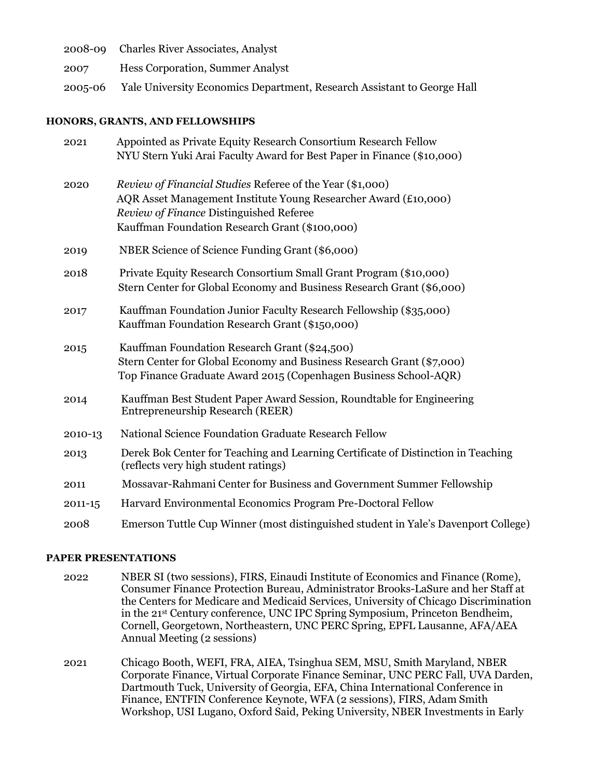|         | 2008-09 Charles River Associates, Analyst                               |
|---------|-------------------------------------------------------------------------|
| 2007    | <b>Hess Corporation, Summer Analyst</b>                                 |
| 2005-06 | Yale University Economics Department, Research Assistant to George Hall |

# **HONORS, GRANTS, AND FELLOWSHIPS**

| Appointed as Private Equity Research Consortium Research Fellow                    |
|------------------------------------------------------------------------------------|
| NYU Stern Yuki Arai Faculty Award for Best Paper in Finance (\$10,000)             |
| Review of Financial Studies Referee of the Year (\$1,000)                          |
| AQR Asset Management Institute Young Researcher Award (£10,000)                    |
| Review of Finance Distinguished Referee                                            |
| Kauffman Foundation Research Grant (\$100,000)                                     |
| NBER Science of Science Funding Grant (\$6,000)                                    |
| Private Equity Research Consortium Small Grant Program (\$10,000)                  |
| Stern Center for Global Economy and Business Research Grant (\$6,000)              |
| Kauffman Foundation Junior Faculty Research Fellowship (\$35,000)                  |
| Kauffman Foundation Research Grant (\$150,000)                                     |
| Kauffman Foundation Research Grant (\$24,500)                                      |
| Stern Center for Global Economy and Business Research Grant (\$7,000)              |
| Top Finance Graduate Award 2015 (Copenhagen Business School-AQR)                   |
| Kauffman Best Student Paper Award Session, Roundtable for Engineering              |
| Entrepreneurship Research (REER)                                                   |
| National Science Foundation Graduate Research Fellow                               |
| Derek Bok Center for Teaching and Learning Certificate of Distinction in Teaching  |
| (reflects very high student ratings)                                               |
| Mossavar-Rahmani Center for Business and Government Summer Fellowship              |
| Harvard Environmental Economics Program Pre-Doctoral Fellow                        |
| Emerson Tuttle Cup Winner (most distinguished student in Yale's Davenport College) |
|                                                                                    |

# **PAPER PRESENTATIONS**

- 2022 NBER SI (two sessions), FIRS, Einaudi Institute of Economics and Finance (Rome), Consumer Finance Protection Bureau, Administrator Brooks-LaSure and her Staff at the Centers for Medicare and Medicaid Services, University of Chicago Discrimination in the 21st Century conference, UNC IPC Spring Symposium, Princeton Bendheim, Cornell, Georgetown, Northeastern, UNC PERC Spring, EPFL Lausanne, AFA/AEA Annual Meeting (2 sessions)
- 2021 Chicago Booth, WEFI, FRA, AIEA, Tsinghua SEM, MSU, Smith Maryland, NBER Corporate Finance, Virtual Corporate Finance Seminar, UNC PERC Fall, UVA Darden, Dartmouth Tuck, University of Georgia, EFA, China International Conference in Finance, ENTFIN Conference Keynote, WFA (2 sessions), FIRS, Adam Smith Workshop, USI Lugano, Oxford Said, Peking University, NBER Investments in Early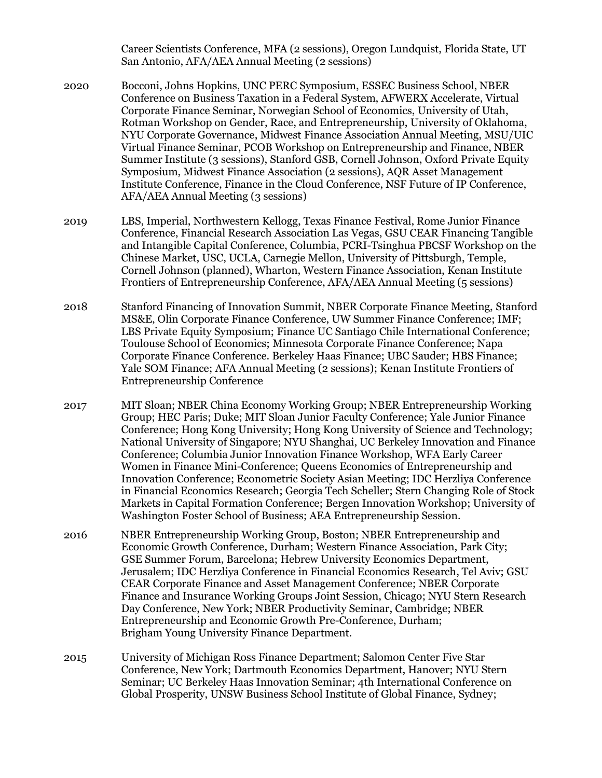Career Scientists Conference, MFA (2 sessions), Oregon Lundquist, Florida State, UT San Antonio, AFA/AEA Annual Meeting (2 sessions)

- 2020 Bocconi, Johns Hopkins, UNC PERC Symposium, ESSEC Business School, NBER Conference on Business Taxation in a Federal System, AFWERX Accelerate, Virtual Corporate Finance Seminar, Norwegian School of Economics, University of Utah, Rotman Workshop on Gender, Race, and Entrepreneurship, University of Oklahoma, NYU Corporate Governance, Midwest Finance Association Annual Meeting, MSU/UIC Virtual Finance Seminar, PCOB Workshop on Entrepreneurship and Finance, NBER Summer Institute (3 sessions), Stanford GSB, Cornell Johnson, Oxford Private Equity Symposium, Midwest Finance Association (2 sessions), AQR Asset Management Institute Conference, Finance in the Cloud Conference, NSF Future of IP Conference, AFA/AEA Annual Meeting (3 sessions)
- 2019 LBS, Imperial, Northwestern Kellogg, Texas Finance Festival, Rome Junior Finance Conference, Financial Research Association Las Vegas, GSU CEAR Financing Tangible and Intangible Capital Conference, Columbia, PCRI-Tsinghua PBCSF Workshop on the Chinese Market, USC, UCLA, Carnegie Mellon, University of Pittsburgh, Temple, Cornell Johnson (planned), Wharton, Western Finance Association, Kenan Institute Frontiers of Entrepreneurship Conference, AFA/AEA Annual Meeting (5 sessions)
- 2018 Stanford Financing of Innovation Summit, NBER Corporate Finance Meeting, Stanford MS&E, Olin Corporate Finance Conference, UW Summer Finance Conference; IMF; LBS Private Equity Symposium; Finance UC Santiago Chile International Conference; Toulouse School of Economics; Minnesota Corporate Finance Conference; Napa Corporate Finance Conference. Berkeley Haas Finance; UBC Sauder; HBS Finance; Yale SOM Finance; AFA Annual Meeting (2 sessions); Kenan Institute Frontiers of Entrepreneurship Conference
- 2017 MIT Sloan; NBER China Economy Working Group; NBER Entrepreneurship Working Group; HEC Paris; Duke; MIT Sloan Junior Faculty Conference; Yale Junior Finance Conference; Hong Kong University; Hong Kong University of Science and Technology; National University of Singapore; NYU Shanghai, UC Berkeley Innovation and Finance Conference; Columbia Junior Innovation Finance Workshop, WFA Early Career Women in Finance Mini-Conference; Queens Economics of Entrepreneurship and Innovation Conference; Econometric Society Asian Meeting; IDC Herzliya Conference in Financial Economics Research; Georgia Tech Scheller; Stern Changing Role of Stock Markets in Capital Formation Conference; Bergen Innovation Workshop; University of Washington Foster School of Business; AEA Entrepreneurship Session.
- 2016 NBER Entrepreneurship Working Group, Boston; NBER Entrepreneurship and Economic Growth Conference, Durham; Western Finance Association, Park City; GSE Summer Forum, Barcelona; Hebrew University Economics Department, Jerusalem; IDC Herzliya Conference in Financial Economics Research, Tel Aviv; GSU CEAR Corporate Finance and Asset Management Conference; NBER Corporate Finance and Insurance Working Groups Joint Session, Chicago; NYU Stern Research Day Conference, New York; NBER Productivity Seminar, Cambridge; NBER Entrepreneurship and Economic Growth Pre-Conference, Durham; Brigham Young University Finance Department.
- 2015 University of Michigan Ross Finance Department; Salomon Center Five Star Conference, New York; Dartmouth Economics Department, Hanover; NYU Stern Seminar; UC Berkeley Haas Innovation Seminar; 4th International Conference on Global Prosperity, UNSW Business School Institute of Global Finance, Sydney;